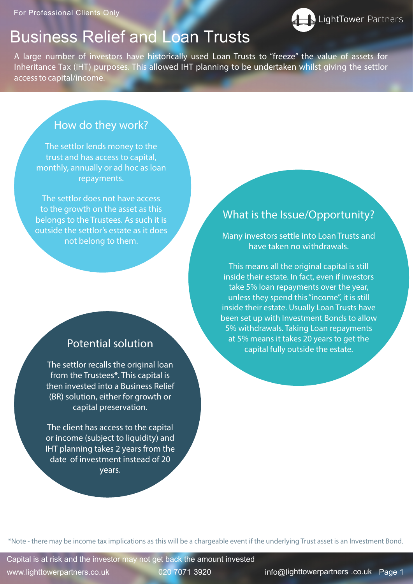# Business Relief and Loan Trusts



A large number of investors have historically used Loan Trusts to "freeze" the value of assets for Inheritance Tax (IHT) purposes. This allowed IHT planning to be undertaken whilst giving the settlor access to capital/income.

## How do they work?

This means all the original capital is still inside their estate. In fact, even if investors take 5% loan repayments over the year, unless they spend this "income", it is still inside their estate. Usually Loan Trusts have been set up with Investment Bonds to allow 5% withdrawals. Taking Loan repayments at 5% means it takes 20 years to get the Potential solution<br>Capital fully outside the estate.

The settlor lends money to the trust and has access to capital, monthly, annually or ad hoc as loan repayments.

The settlor does not have access to the growth on the asset as this belongs to the Trustees. As such it is outside the settlor's estate as it does not belong to them.

Many investors settle into Loan Trusts and have taken no withdrawals.

The settlor recalls the original loan from the Trustees\*. This capital is then invested into a Business Relief (BR) solution, either for growth or capital preservation.

The client has access to the capital or income (subject to liquidity) and

## What is the Issue/Opportunity?

IHT planning takes 2 years from the date of investment instead of 20 years.

#### \*Note - there may be income tax implications as this will be a chargeable event if the underlying Trust asset is an Investment Bond.

Capital is at risk and the investor may not get back the amount invested

www.lighttowerpartners.co.uk 020 7071 3920 info@lighttowerpartners .co.uk Page 1